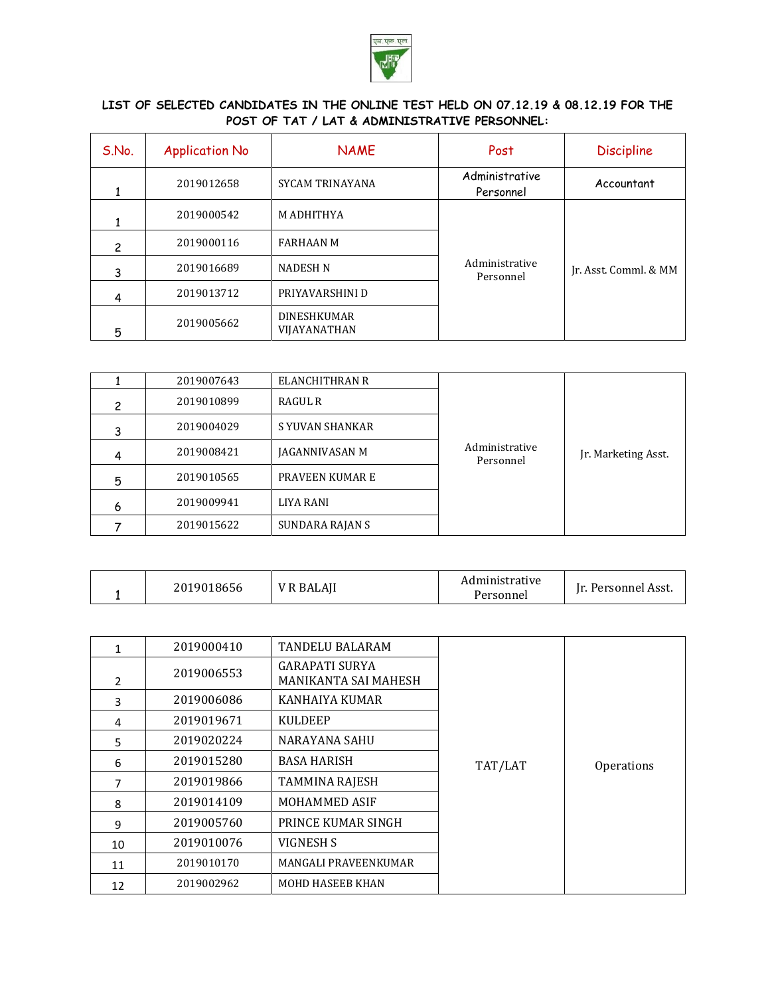

## **LIST OF SELECTED CANDIDATES IN THE ONLINE TEST HELD ON 07.12.19 & 08.12.19 FOR THE POST OF TAT / LAT & ADMINISTRATIVE PERSONNEL:**

| S.No. | <b>Application No</b> | <b>NAME</b>                        | Post                        | <b>Discipline</b>     |
|-------|-----------------------|------------------------------------|-----------------------------|-----------------------|
|       | 2019012658            | SYCAM TRINAYANA                    | Administrative<br>Personnel | Accountant            |
|       | 2019000542            | <b>M ADHITHYA</b>                  |                             |                       |
| 2     | 2019000116            | <b>FARHAAN M</b>                   |                             |                       |
| 3     | 2019016689            | <b>NADESH N</b>                    | Administrative<br>Personnel | Ir. Asst. Comml. & MM |
| 4     | 2019013712            | PRIYAVARSHINI D                    |                             |                       |
| 5     | 2019005662            | <b>DINESHKUMAR</b><br>VIJAYANATHAN |                             |                       |

|   | 2019007643 | ELANCHITHRAN R  |                             |                     |
|---|------------|-----------------|-----------------------------|---------------------|
| 2 | 2019010899 | RAGUL R         |                             |                     |
| 3 | 2019004029 | S YUVAN SHANKAR |                             |                     |
| 4 | 2019008421 | JAGANNIVASAN M  | Administrative<br>Personnel | Jr. Marketing Asst. |
| 5 | 2019010565 | PRAVEEN KUMAR E |                             |                     |
| 6 | 2019009941 | LIYA RANI       |                             |                     |
|   | 2019015622 | SUNDARA RAJAN S |                             |                     |

| 2019018656<br><b>LAIL</b><br><b>BAI</b> | Administrative<br>'ersonnel | `Asst.<br>Personnei<br>$\sim$ |
|-----------------------------------------|-----------------------------|-------------------------------|
|-----------------------------------------|-----------------------------|-------------------------------|

| 1  | 2019000410 | <b>TANDELU BALARAM</b>                        |         |                   |
|----|------------|-----------------------------------------------|---------|-------------------|
| 2  | 2019006553 | <b>GARAPATI SURYA</b><br>MANIKANTA SAI MAHESH |         |                   |
| 3  | 2019006086 | KANHAIYA KUMAR                                |         |                   |
| 4  | 2019019671 | <b>KULDEEP</b>                                |         |                   |
| 5  | 2019020224 | <b>NARAYANA SAHU</b>                          |         |                   |
| 6  | 2019015280 | <b>BASA HARISH</b>                            | TAT/LAT | <b>Operations</b> |
| 7  | 2019019866 | <b>TAMMINA RAJESH</b>                         |         |                   |
| 8  | 2019014109 | <b>MOHAMMED ASIF</b>                          |         |                   |
| 9  | 2019005760 | PRINCE KUMAR SINGH                            |         |                   |
| 10 | 2019010076 | VIGNESH S                                     |         |                   |
| 11 | 2019010170 | MANGALI PRAVEENKUMAR                          |         |                   |
| 12 | 2019002962 | <b>MOHD HASEEB KHAN</b>                       |         |                   |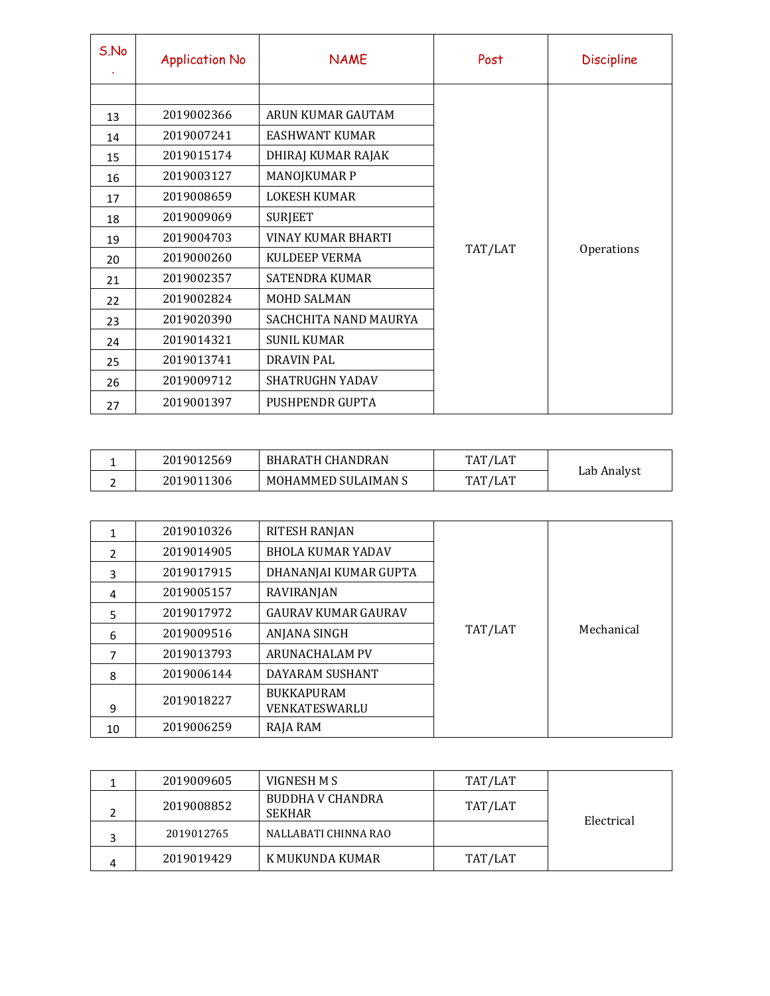| S.No | <b>Application No</b> | <b>NAME</b>               | Post    | <b>Discipline</b> |
|------|-----------------------|---------------------------|---------|-------------------|
|      |                       |                           |         |                   |
| 13   | 2019002366            | ARUN KUMAR GAUTAM         |         |                   |
| 14   | 2019007241            | <b>EASHWANT KUMAR</b>     |         |                   |
| 15   | 2019015174            | DHIRAJ KUMAR RAJAK        |         |                   |
| 16   | 2019003127            | MANOJKUMAR P              |         | Operations        |
| 17   | 2019008659            | <b>LOKESH KUMAR</b>       |         |                   |
| 18   | 2019009069            | <b>SURJEET</b>            |         |                   |
| 19   | 2019004703            | <b>VINAY KUMAR BHARTI</b> |         |                   |
| 20   | 2019000260            | <b>KULDEEP VERMA</b>      | TAT/LAT |                   |
| 21   | 2019002357            | <b>SATENDRA KUMAR</b>     |         |                   |
| 22   | 2019002824            | <b>MOHD SALMAN</b>        |         |                   |
| 23   | 2019020390            | SACHCHITA NAND MAURYA     |         |                   |
| 24   | 2019014321            | <b>SUNIL KUMAR</b>        |         |                   |
| 25   | 2019013741            | <b>DRAVIN PAL</b>         |         |                   |
| 26   | 2019009712            | <b>SHATRUGHN YADAV</b>    |         |                   |
| 27   | 2019001397            | PUSHPENDR GUPTA           |         |                   |

| 2019012569 | <b>BHARATH CHANDRAN</b> | TAT/LAT |             |
|------------|-------------------------|---------|-------------|
| 2019011306 | MOHAMMED SULAIMAN S     | TAT/LAT | Lab Analyst |

| 1              | 2019010326 | RITESH RANJAN                             |         |            |
|----------------|------------|-------------------------------------------|---------|------------|
| $\overline{2}$ | 2019014905 | <b>BHOLA KUMAR YADAV</b>                  |         |            |
| 3              | 2019017915 | DHANANJAI KUMAR GUPTA                     |         |            |
| 4              | 2019005157 | RAVIRANJAN                                |         |            |
| 5              | 2019017972 | <b>GAURAV KUMAR GAURAV</b>                |         |            |
| 6              | 2019009516 | ANJANA SINGH                              | TAT/LAT | Mechanical |
| 7              | 2019013793 | <b>ARUNACHALAM PV</b>                     |         |            |
| 8              | 2019006144 | DAYARAM SUSHANT                           |         |            |
| 9              | 2019018227 | <b>BUKKAPURAM</b><br><b>VENKATESWARLU</b> |         |            |
| 10             | 2019006259 | RAJA RAM                                  |         |            |

|   | 2019009605 | VIGNESH M S                              | TAT/LAT |            |
|---|------------|------------------------------------------|---------|------------|
|   | 2019008852 | <b>BUDDHA V CHANDRA</b><br><b>SEKHAR</b> | TAT/LAT | Electrical |
|   | 2019012765 | NALLABATI CHINNA RAO                     |         |            |
| 4 | 2019019429 | K MUKUNDA KUMAR                          | TAT/LAT |            |